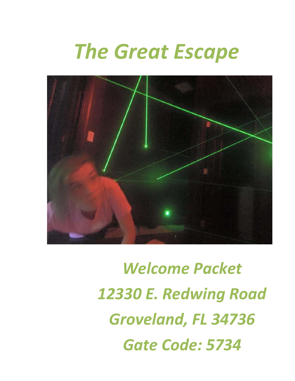# *The Great Escape*



*Welcome Packet 12330 E. Redwing Road Groveland, FL 34736 Gate Code: 5734*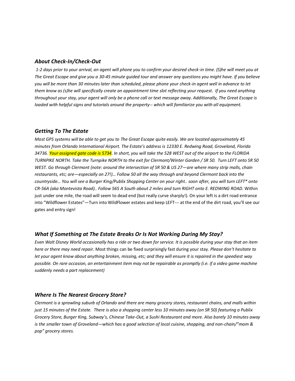#### *About Check-In/Check-Out*

*1-2 days prior to your arrival, an agent will phone you to confirm your desired check-in time. (S)he will meet you at The Great Escape and give you a 30-45 minute guided tour and answer any questions you might have. If you believe you will be more than 30 minutes later than scheduled, please phone your check-in agent well in advance to let them know as (s)he will specifically create an appointment time slot reflecting your request. If you need anything throughout your stay, your agent will only be a phone call or text message away. Additionally, The Great Escape is loaded with helpful signs and tutorials around the property-- which will familiarize you with all equipment.*

### *Getting To The Estate*

*Most GPS systems will be able to get you to The Great Escape quite easily. We are located approximately 45 minutes from Orlando International Airport. The Estate's address is 12330 E. Redwing Road, Groveland, Florida 34736. Your assigned gate code is 5734. In short, you will take the 528 WEST out of the airport to the FLORIDA TURNPIKE NORTH. Take the Turnpike NORTH to the exit for Clermont/Winter Garden / SR 50. Turn LEFT onto SR 50 WEST. Go through Clermont (note: around the intersection of SR 50 & US 27—are where many strip malls, chain restaurants, etc; are—especially on 27!)… Follow 50 all the way through and beyond Clermont back into the countryside… You will see a Burger King/Publix Shopping Center on your right.. soon after, you will turn LEFT\* onto CR-56A (aka Montevista Road).. Follow 565 A South about 2 miles and turn RIGHT onto E. REDWING ROAD.* Within just under one mile, the road will seem to dead end (but really curve sharply!). On your left is a dirt road entrance into "Wildflower Estates"—Turn into WildFlower estates and keep LEFT--- at the end of the dirt road, you'll see our gates and entry sign!

## *What If Something at The Estate Breaks Or Is Not Working During My Stay?*

*Even Walt Disney World occasionally has a ride or two down for service. It is possible during your stay that an item here or there may need repair.* Most things can be fixed surprisingly fast during your stay*. Please don't hesitate to let your agent know about anything broken, missing, etc; and they will ensure it is repaired in the speediest way possible. On rare occasion, an entertainment item may not be repairable as promptly (i.e. if a video game machine suddenly needs a part replacement)*

#### *Where Is The Nearest Grocery Store?*

*Clermont is a sprawling suburb of Orlando and there are many grocery stores, restaurant chains, and malls within just 15 minutes of the Estate. There is also a shopping center less 10 minutes away (on SR 50) featuring a Publix Grocery Store, Burger King, Subway's, Chinese Take-Out, a Sushi Restaurant and more. Also barely 10 minutes away is the smaller town of Groveland—which has a good selection of local cuisine, shopping, and non-chain/"mom & pop" grocery stores.*